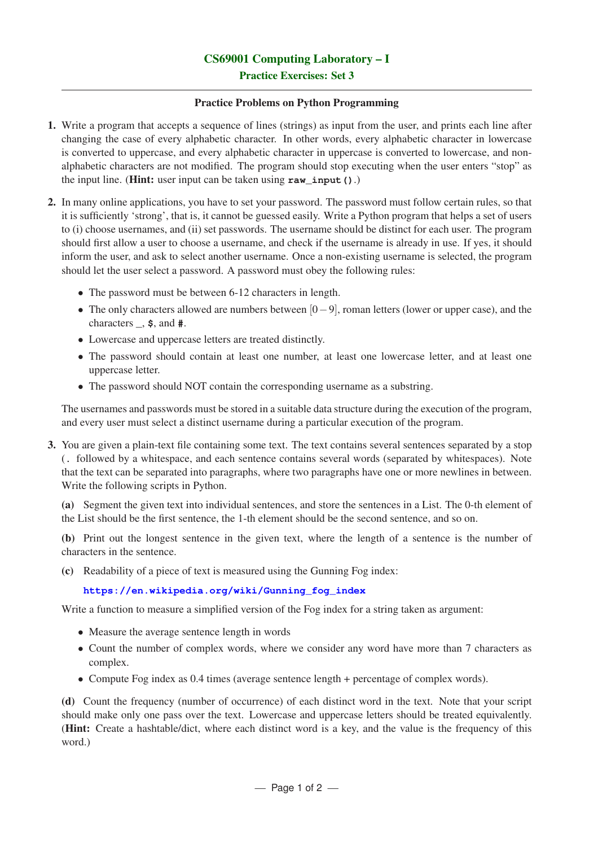Practice Exercises: Set 3

## Practice Problems on Python Programming

- 1. Write a program that accepts a sequence of lines (strings) as input from the user, and prints each line after changing the case of every alphabetic character. In other words, every alphabetic character in lowercase is converted to uppercase, and every alphabetic character in uppercase is converted to lowercase, and nonalphabetic characters are not modified. The program should stop executing when the user enters "stop" as the input line. (Hint: user input can be taken using **raw\_input()**.)
- 2. In many online applications, you have to set your password. The password must follow certain rules, so that it is sufficiently 'strong', that is, it cannot be guessed easily. Write a Python program that helps a set of users to (i) choose usernames, and (ii) set passwords. The username should be distinct for each user. The program should first allow a user to choose a username, and check if the username is already in use. If yes, it should inform the user, and ask to select another username. Once a non-existing username is selected, the program should let the user select a password. A password must obey the following rules:
	- The password must be between 6-12 characters in length.
	- The only characters allowed are numbers between [0−9], roman letters (lower or upper case), and the characters **\_**, **\$**, and **#**.
	- Lowercase and uppercase letters are treated distinctly.
	- The password should contain at least one number, at least one lowercase letter, and at least one uppercase letter.
	- The password should NOT contain the corresponding username as a substring.

The usernames and passwords must be stored in a suitable data structure during the execution of the program, and every user must select a distinct username during a particular execution of the program.

3. You are given a plain-text file containing some text. The text contains several sentences separated by a stop (**.** followed by a whitespace, and each sentence contains several words (separated by whitespaces). Note that the text can be separated into paragraphs, where two paragraphs have one or more newlines in between. Write the following scripts in Python.

(a) Segment the given text into individual sentences, and store the sentences in a List. The 0-th element of the List should be the first sentence, the 1-th element should be the second sentence, and so on.

(b) Print out the longest sentence in the given text, where the length of a sentence is the number of characters in the sentence.

(c) Readability of a piece of text is measured using the Gunning Fog index:

## **https://en.wikipedia.org/wiki/Gunning\_fog\_index**

Write a function to measure a simplified version of the Fog index for a string taken as argument:

- Measure the average sentence length in words
- Count the number of complex words, where we consider any word have more than 7 characters as complex.
- Compute Fog index as 0.4 times (average sentence length + percentage of complex words).

(d) Count the frequency (number of occurrence) of each distinct word in the text. Note that your script should make only one pass over the text. Lowercase and uppercase letters should be treated equivalently. (Hint: Create a hashtable/dict, where each distinct word is a key, and the value is the frequency of this word.)